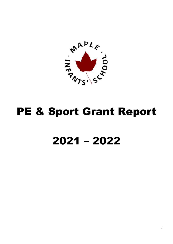

## PE & Sport Grant Report

## – 2022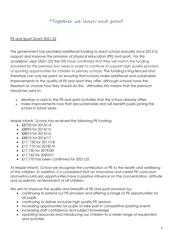## \*Together we learn and grow\*

## PE and Sport Grant 2021-22

The government has provided additional funding to each school annually since 2013 to support and improve the provision of physical education (PE) and sport. For this academic year (2021-22) the DfE have confirmed that they will match the funding provided for the previous four years in order to continue to support high quality provision of sporting opportunities for children in primary schools. The funding is ring-fenced and therefore can only be spent on ensuring that schools make additional and sustainable improvements to the quality of PE and sport they offer, although schools have the freedom to choose how they should do this. Ultimately this means that the premium should be used to:

- develop or add to the PE and sport activities that the school already offers
- make improvements now that are sustainable and will benefit pupils joining the school in future years

Maple Infants' School has received the following PE funding:

- £8750 for 2013/14
- £8895 for 2014/15
- £8810 for 2015/16
- £8810 for 2016/17
- $\bullet$  £17, 750 for 2017/18
- $\cdot$  £17, 770 for 2018/19
- $\cdot$  £17,750 for 2019/20
- $\cdot$  £17.762 for 2020/21
- £17,770 has been confirmed for 2021/22

*At Maple Infants' School we recognise the contribution of PE to the health and wellbeing of the children. In addition, it is considered that an innovative and varied PE curriculum and extra-curricular opportunities have a positive influence on the concentration, attitude and academic achievement of all children.*

We aim to improve the quality and breadth of PE and sport provision by:

- continuing to extend our PE provision and offering a range of PE opportunities for all pupils
- continuing to deliver inclusive high quality PE sessions
- increasing opportunities for pupils to take part in competitive sporting events
- increasing staff confidence and subject knowledge
- updating resources and introducing our children to a wider range of equipment and activities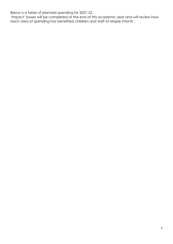Below is a table of planned spending for 2021-22.

'Impact' boxes will be completed at the end of this academic year and will review how each area of spending has benefited children and staff at Maple Infants'.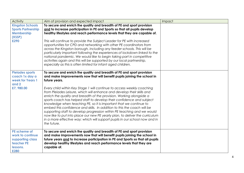| Activity                                                                               | Aim of provision and expected impact                                                                                                                                                                                                                                                                                                                                                                                                                                                                                                                                                                                                                                                                                                                                                                                                                                               | Impact |
|----------------------------------------------------------------------------------------|------------------------------------------------------------------------------------------------------------------------------------------------------------------------------------------------------------------------------------------------------------------------------------------------------------------------------------------------------------------------------------------------------------------------------------------------------------------------------------------------------------------------------------------------------------------------------------------------------------------------------------------------------------------------------------------------------------------------------------------------------------------------------------------------------------------------------------------------------------------------------------|--------|
| <b>Kingston Schools</b><br><b>Sports Partnership</b><br>Membership<br>(KSSP)<br>£290   | To secure and enrich the quality and breadth of PE and sport provision<br>and to increase participation in PE and Sports so that all pupils develop<br>healthy lifestyles and reach performance levels that they are capable of.<br>This will continue to provide the Subject Leader for PE with increased<br>opportunities for CPD and networking with other PE coordinators from<br>across the Kingston borough, including any feeder schools. This will be<br>particularly important following the experiences of lockdown linked to the<br>national pandemic. We would like to begin taking part in competitive<br>activities again and this will be supported by our local partnership,<br>especially as this is often limited for infant aged children.                                                                                                                      |        |
| <b>Pleiades sports</b><br>coach 1x day a<br>week for Years 1<br>and 2<br>£7,980.00     | To secure and enrich the quality and breadth of PE and sport provision<br>and make improvements now that will benefit pupils joining the school in<br>future years.<br>Every child within Key Stage 1 will continue to access weekly coaching<br>from Pleiades Leisure, which will enhance and develop their skills and<br>enrich the quality and breadth of the provision. Working alongside a<br>sports coach has helped staff to develop their confidence and subject<br>knowledge when teaching PE, so it is important that we continue to<br>embed this confidence and skills. In addition to this the coach will be<br>supporting staff to develop progression within PE teaching and we would<br>now like to put into place our new PE yearly plan, to deliver the curriculum<br>in a more effective way; which will support pupils in our school now and in<br>the future. |        |
| PE scheme of<br>work to continue<br>supporting class<br>teacher PE<br>lessons.<br>£280 | To secure and enrich the quality and breadth of PE and sport provision<br>and make improvements now that will benefit pupils joining the school in<br>future years and to increase participation in PE and Sports so that all pupils<br>develop healthy lifestyles and reach performance levels that they are<br>capable of.                                                                                                                                                                                                                                                                                                                                                                                                                                                                                                                                                       |        |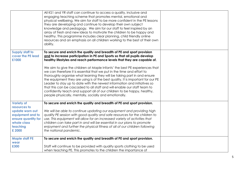|                                                                                                                                      | All KS1 and YR staff can continue to access a quality, inclusive and<br>engaging teaching scheme that promotes mental, emotional and<br>physical wellbeing. We aim for staff to be more confident in the PE lessons<br>they are developing and continue to develop their own subject<br>knowledge and pedagogy. We aim for our staff to feel inspired by an<br>array of fresh and new ideas to motivate the children to be happy and<br>healthy. This programme includes clear planning, child friendly online<br>resources and an emphasis on all children working to the best of their own<br>ability. |  |
|--------------------------------------------------------------------------------------------------------------------------------------|----------------------------------------------------------------------------------------------------------------------------------------------------------------------------------------------------------------------------------------------------------------------------------------------------------------------------------------------------------------------------------------------------------------------------------------------------------------------------------------------------------------------------------------------------------------------------------------------------------|--|
| <b>Supply staff to</b><br>cover the PE lead<br>£1000                                                                                 | To secure and enrich the quality and breadth of PE and sport provision<br>and to increase participation in PE and Sports so that all pupils develop<br>healthy lifestyles and reach performance levels that they are capable of.<br>We aim to give the children at Maple Infants' the best PE experiences that<br>we can therefore it is essential that we put in the time and effort to<br>thoroughly organise what learning they will be taking part in and ensure<br>the equipment they are using is of the best quality. It is important for our PE                                                  |  |
|                                                                                                                                      | Leader to stay up to date with the newest information and initiatives so<br>that this can be cascaded to all staff and will enable our staff team to<br>confidently teach and support all of our children to be happy, healthy,<br>people physically, mentally, socially and emotionally.                                                                                                                                                                                                                                                                                                                |  |
| <b>Variety of</b><br>resources to<br>update worn out<br>equipment and to<br>ensure quantity for<br>whole class<br>teaching<br>£ 2000 | To secure and enrich the quality and breadth of PE and sport provision.<br>We will be able to continue updating our equipment and providing high<br>quality PE session with good quality and safe resources for the children to<br>use. This equipment will allow for an increased variety of activities that<br>children can take part in and will be essential in our plans to promote<br>enjoyment and further the physical fitness of all of our children following<br>the national pandemic.                                                                                                        |  |
| <b>Maple staff PE</b><br>wear<br>£300                                                                                                | To secure and enrich the quality and breadth of PE and sport provision.<br>Staff will continue to be provided with quality sports clothing to be used<br>when teaching PE. This promotes to the children the importance of                                                                                                                                                                                                                                                                                                                                                                               |  |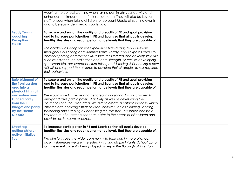|                                                                                                            | wearing the correct clothing when taking part in physical activity and<br>enhances the importance of this subject area. They will also be key for<br>staff to wear when taking children to represent Maple at sporting events<br>and to be easily identified at sports day.                                                                                                                                                                                                                                                                                                                                                                                                                                                                   |  |
|------------------------------------------------------------------------------------------------------------|-----------------------------------------------------------------------------------------------------------------------------------------------------------------------------------------------------------------------------------------------------------------------------------------------------------------------------------------------------------------------------------------------------------------------------------------------------------------------------------------------------------------------------------------------------------------------------------------------------------------------------------------------------------------------------------------------------------------------------------------------|--|
| <b>Teddy Tennis</b><br>coaching<br><b>Reception</b><br>£3000                                               | To secure and enrich the quality and breadth of PE and sport provision<br>and to increase participation in PE and Sports so that all pupils develop<br>healthy lifestyles and reach performance levels that they are capable of.<br>The children in Reception will experience high quality tennis sessions<br>throughout our Spring and Summer terms. Teddy Tennis exposes pupils to<br>another sporting activity that will inspire their interest and develop key skills<br>such as balance, co-ordination and core strength. As well as developing<br>sportsmanship, perseverance, turn taking and listening skills learning a new<br>skill will also support the children to develop their strategies to self-regulate<br>their behaviour. |  |
| <b>Refurbishment of</b><br>the front garden<br>area into a<br>physical trim trail                          | To secure and enrich the quality and breadth of PE and sport provision<br>and to increase participation in PE and Sports so that all pupils develop<br>healthy lifestyles and reach performance levels that they are capable of.                                                                                                                                                                                                                                                                                                                                                                                                                                                                                                              |  |
| and nature area.<br><b>Funded partly</b><br>from the PE<br>budget and partly<br>by the Friends.<br>£15,000 | We would love to create another area in our school for our children to<br>enjoy and take part in physical activity as well as developing the<br>aesthetics of our outside area. We aim to create a natural space in which<br>children can challenge their physical abilities such as climbing, landing,<br>balancing and jumping by accessing the trim trail. This space can be a<br>key feature of our school that can cater to the needs of all children and<br>provides an inclusive resource.                                                                                                                                                                                                                                             |  |
| Street tag -<br>getting children<br>active initiative.<br><b>Tbc</b>                                       | To increase participation in PE and Sports so that all pupils develop<br>healthy lifestyles and reach performance levels that they are capable of.<br>We aim to inspire the wider community to take part in more physical<br>activity therefore we are interested in signing Maple Infants' School up to                                                                                                                                                                                                                                                                                                                                                                                                                                      |  |
|                                                                                                            | join this event currently being played widely in the Borough of Kingston.                                                                                                                                                                                                                                                                                                                                                                                                                                                                                                                                                                                                                                                                     |  |